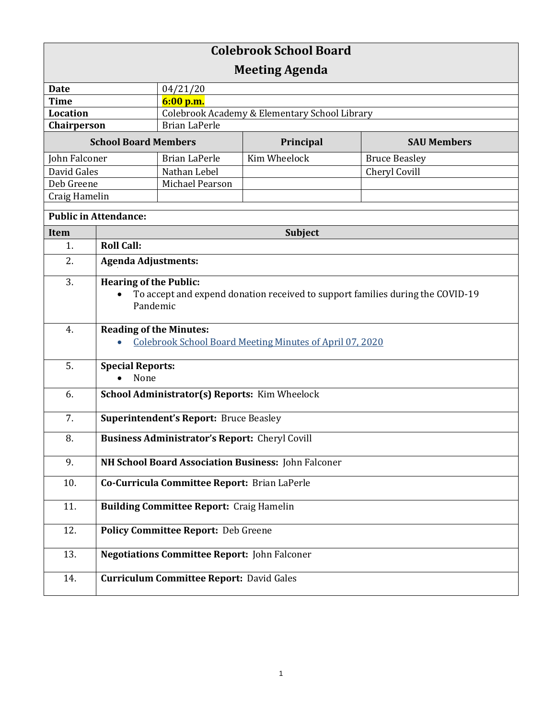| <b>Colebrook School Board</b> |                                                                                                                             |                                               |              |                      |  |
|-------------------------------|-----------------------------------------------------------------------------------------------------------------------------|-----------------------------------------------|--------------|----------------------|--|
| <b>Meeting Agenda</b>         |                                                                                                                             |                                               |              |                      |  |
| <b>Date</b>                   |                                                                                                                             | 04/21/20                                      |              |                      |  |
| <b>Time</b>                   |                                                                                                                             | 6:00 p.m.                                     |              |                      |  |
| Location                      |                                                                                                                             | Colebrook Academy & Elementary School Library |              |                      |  |
| Chairperson                   |                                                                                                                             | <b>Brian LaPerle</b>                          |              |                      |  |
| <b>School Board Members</b>   |                                                                                                                             |                                               | Principal    | <b>SAU Members</b>   |  |
| John Falconer                 |                                                                                                                             | <b>Brian LaPerle</b>                          | Kim Wheelock | <b>Bruce Beasley</b> |  |
| David Gales                   |                                                                                                                             | Nathan Lebel                                  |              | Cheryl Covill        |  |
| Deb Greene                    |                                                                                                                             | Michael Pearson                               |              |                      |  |
| Craig Hamelin                 |                                                                                                                             |                                               |              |                      |  |
| <b>Public in Attendance:</b>  |                                                                                                                             |                                               |              |                      |  |
| <b>Item</b>                   | <b>Subject</b>                                                                                                              |                                               |              |                      |  |
| 1.                            | <b>Roll Call:</b>                                                                                                           |                                               |              |                      |  |
| 2.                            | <b>Agenda Adjustments:</b>                                                                                                  |                                               |              |                      |  |
| 3.                            | <b>Hearing of the Public:</b><br>To accept and expend donation received to support families during the COVID-19<br>Pandemic |                                               |              |                      |  |
| 4.                            | <b>Reading of the Minutes:</b><br>Colebrook School Board Meeting Minutes of April 07, 2020                                  |                                               |              |                      |  |
| 5.                            | <b>Special Reports:</b><br>None<br>$\bullet$                                                                                |                                               |              |                      |  |
| 6.                            | School Administrator(s) Reports: Kim Wheelock                                                                               |                                               |              |                      |  |
| 7.                            | <b>Superintendent's Report: Bruce Beasley</b>                                                                               |                                               |              |                      |  |
| 8.                            | <b>Business Administrator's Report: Cheryl Covill</b>                                                                       |                                               |              |                      |  |
| 9.                            | NH School Board Association Business: John Falconer                                                                         |                                               |              |                      |  |
| 10.                           | Co-Curricula Committee Report: Brian LaPerle                                                                                |                                               |              |                      |  |
| 11.                           | <b>Building Committee Report: Craig Hamelin</b>                                                                             |                                               |              |                      |  |
| 12.                           | <b>Policy Committee Report: Deb Greene</b>                                                                                  |                                               |              |                      |  |
| 13.                           | <b>Negotiations Committee Report: John Falconer</b>                                                                         |                                               |              |                      |  |
| 14.                           | <b>Curriculum Committee Report: David Gales</b>                                                                             |                                               |              |                      |  |